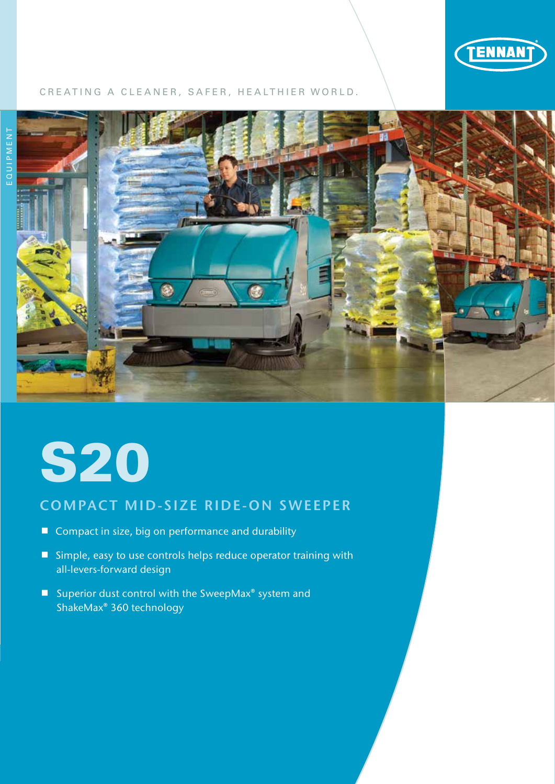

## CREATING A CLEANER, SAFER, HEALTHIER WORLD.



# S20

# COMPACT MID-SIZE RIDE-ON SWEEPER

- Compact in size, big on performance and durability
- Simple, easy to use controls helps reduce operator training with all-levers-forward design
- Superior dust control with the SweepMax<sup>®</sup> system and ShakeMax® 360 technology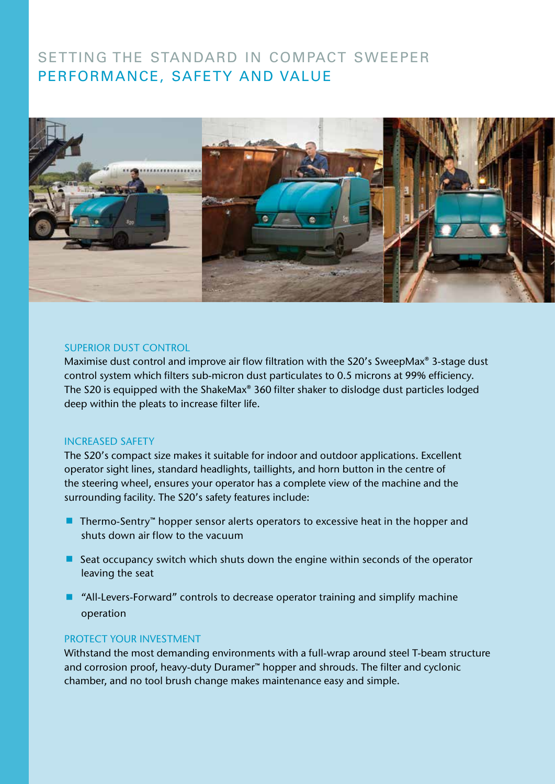# SETTING THE STANDARD IN COMPACT SWEEPER PERFORMANCE, SAFETY AND VALUE



#### SUPERIOR DUST CONTROL

Maximise dust control and improve air flow filtration with the S20's SweepMax<sup>®</sup> 3-stage dust control system which filters sub-micron dust particulates to 0.5 microns at 99% efficiency. The S20 is equipped with the ShakeMax® 360 filter shaker to dislodge dust particles lodged deep within the pleats to increase filter life.

## INCREASED SAFETY

The S20's compact size makes it suitable for indoor and outdoor applications. Excellent operator sight lines, standard headlights, taillights, and horn button in the centre of the steering wheel, ensures your operator has a complete view of the machine and the surrounding facility. The S20's safety features include:

- Thermo-Sentry<sup>™</sup> hopper sensor alerts operators to excessive heat in the hopper and shuts down air flow to the vacuum
- Seat occupancy switch which shuts down the engine within seconds of the operator leaving the seat
- "All-Levers-Forward" controls to decrease operator training and simplify machine operation

## PROTECT YOUR INVESTMENT

Withstand the most demanding environments with a full-wrap around steel T-beam structure and corrosion proof, heavy-duty Duramer™ hopper and shrouds. The filter and cyclonic chamber, and no tool brush change makes maintenance easy and simple.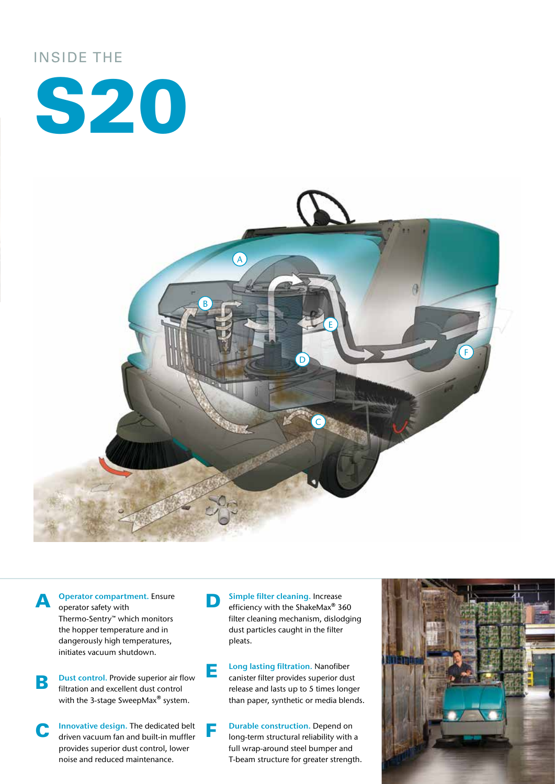# INSIDE THE





**A** Operator compartment. Ensure operator safety with Thermo-Sentry™ which monitors the hopper temperature and in dangerously high temperatures, initiates vacuum shutdown.

**B** Dust control. Provide superior air flow<br>
filtration and excellent dust control with the 3-stage SweepMax<sup>®</sup> system.

**C** Innovative design. The dedicated belt driven vacuum fan and built-in muffler provides superior dust control, lower noise and reduced maintenance.

**D** Simple filter cleaning. Increase efficiency with the ShakeMax<sup>®</sup> 360 filter cleaning mechanism, dislodging dust particles caught in the filter pleats.

E Long lasting filtration. Nanofiber canister filter provides superior dust release and lasts up to 5 times longer than paper, synthetic or media blends.

**F** Durable construction. Depend on<br>long-term structural reliability with a full wrap-around steel bumper and T-beam structure for greater strength.